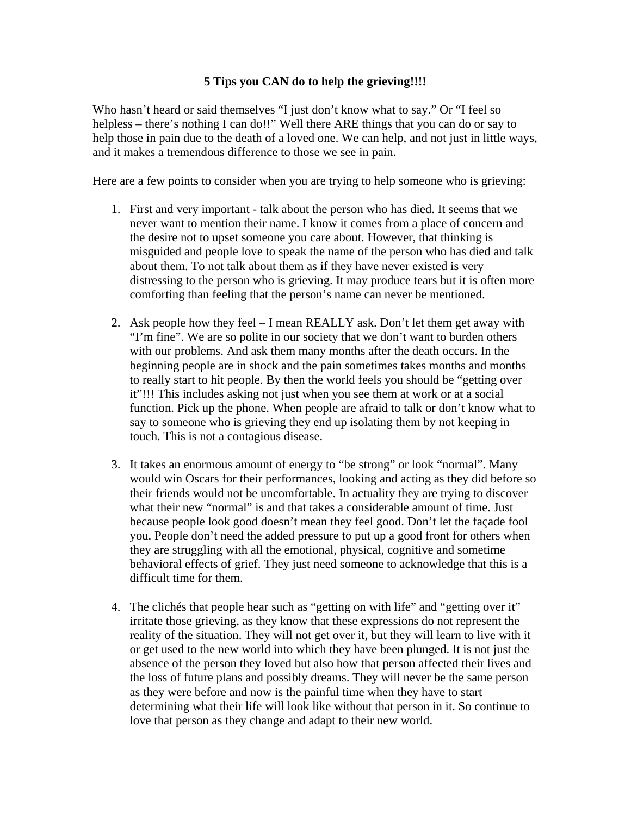## **5 Tips you CAN do to help the grieving!!!!**

Who hasn't heard or said themselves "I just don't know what to say." Or "I feel so helpless – there's nothing I can do!!" Well there ARE things that you can do or say to help those in pain due to the death of a loved one. We can help, and not just in little ways, and it makes a tremendous difference to those we see in pain.

Here are a few points to consider when you are trying to help someone who is grieving:

- 1. First and very important talk about the person who has died. It seems that we never want to mention their name. I know it comes from a place of concern and the desire not to upset someone you care about. However, that thinking is misguided and people love to speak the name of the person who has died and talk about them. To not talk about them as if they have never existed is very distressing to the person who is grieving. It may produce tears but it is often more comforting than feeling that the person's name can never be mentioned.
- 2. Ask people how they feel I mean REALLY ask. Don't let them get away with "I'm fine". We are so polite in our society that we don't want to burden others with our problems. And ask them many months after the death occurs. In the beginning people are in shock and the pain sometimes takes months and months to really start to hit people. By then the world feels you should be "getting over it"!!! This includes asking not just when you see them at work or at a social function. Pick up the phone. When people are afraid to talk or don't know what to say to someone who is grieving they end up isolating them by not keeping in touch. This is not a contagious disease.
- 3. It takes an enormous amount of energy to "be strong" or look "normal". Many would win Oscars for their performances, looking and acting as they did before so their friends would not be uncomfortable. In actuality they are trying to discover what their new "normal" is and that takes a considerable amount of time. Just because people look good doesn't mean they feel good. Don't let the façade fool you. People don't need the added pressure to put up a good front for others when they are struggling with all the emotional, physical, cognitive and sometime behavioral effects of grief. They just need someone to acknowledge that this is a difficult time for them.
- 4. The clichés that people hear such as "getting on with life" and "getting over it" irritate those grieving, as they know that these expressions do not represent the reality of the situation. They will not get over it, but they will learn to live with it or get used to the new world into which they have been plunged. It is not just the absence of the person they loved but also how that person affected their lives and the loss of future plans and possibly dreams. They will never be the same person as they were before and now is the painful time when they have to start determining what their life will look like without that person in it. So continue to love that person as they change and adapt to their new world.